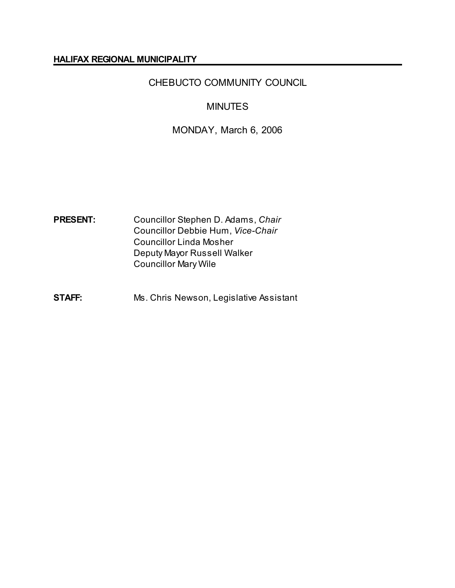#### **HALIFAX REGIONAL MUNICIPALITY**

# CHEBUCTO COMMUNITY COUNCIL

# MINUTES

# MONDAY, March 6, 2006

**PRESENT:** Councillor Stephen D. Adams, *Chair* Councillor Debbie Hum, *Vice-Chair* Councillor Linda Mosher Deputy Mayor Russell Walker Councillor Mary Wile

**STAFF:** Ms. Chris Newson, Legislative Assistant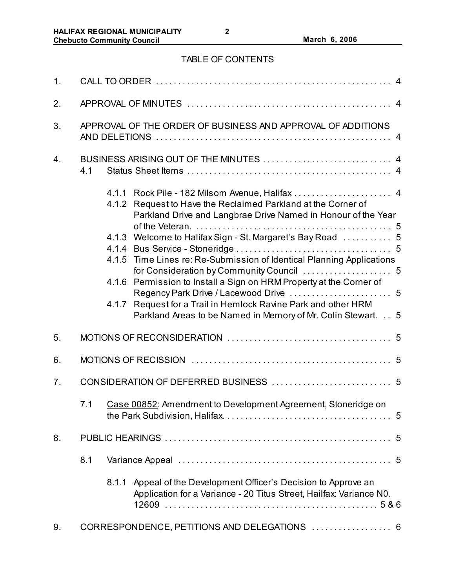# TABLE OF CONTENTS

| 1. |                                                             |                         |                                                                                                                                                                                                                                                                                                                                                                                                                                                                                                                       |  |  |
|----|-------------------------------------------------------------|-------------------------|-----------------------------------------------------------------------------------------------------------------------------------------------------------------------------------------------------------------------------------------------------------------------------------------------------------------------------------------------------------------------------------------------------------------------------------------------------------------------------------------------------------------------|--|--|
| 2. |                                                             |                         |                                                                                                                                                                                                                                                                                                                                                                                                                                                                                                                       |  |  |
| 3. | APPROVAL OF THE ORDER OF BUSINESS AND APPROVAL OF ADDITIONS |                         |                                                                                                                                                                                                                                                                                                                                                                                                                                                                                                                       |  |  |
| 4. | 4.1                                                         |                         |                                                                                                                                                                                                                                                                                                                                                                                                                                                                                                                       |  |  |
|    |                                                             | 4.1.2<br>4.1.4<br>4.1.6 | 4.1.1 Rock Pile - 182 Milsom Avenue, Halifax  4<br>Request to Have the Reclaimed Parkland at the Corner of<br>Parkland Drive and Langbrae Drive Named in Honour of the Year<br>4.1.3 Welcome to Halifax Sign - St. Margaret's Bay Road  5<br>4.1.5 Time Lines re: Re-Submission of Identical Planning Applications<br>Permission to Install a Sign on HRM Property at the Corner of<br>4.1.7 Request for a Trail in Hemlock Ravine Park and other HRM<br>Parkland Areas to be Named in Memory of Mr. Colin Stewart. 5 |  |  |
| 5. |                                                             |                         |                                                                                                                                                                                                                                                                                                                                                                                                                                                                                                                       |  |  |
| 6. |                                                             |                         |                                                                                                                                                                                                                                                                                                                                                                                                                                                                                                                       |  |  |
| 7. |                                                             |                         |                                                                                                                                                                                                                                                                                                                                                                                                                                                                                                                       |  |  |
|    |                                                             |                         | 7.1 Case 00852: Amendment to Development Agreement, Stoneridge on                                                                                                                                                                                                                                                                                                                                                                                                                                                     |  |  |
| 8. |                                                             |                         |                                                                                                                                                                                                                                                                                                                                                                                                                                                                                                                       |  |  |
|    | 8.1                                                         |                         |                                                                                                                                                                                                                                                                                                                                                                                                                                                                                                                       |  |  |
|    |                                                             | 8.1.1                   | Appeal of the Development Officer's Decision to Approve an<br>Application for a Variance - 20 Titus Street, Hailfax: Variance N0.                                                                                                                                                                                                                                                                                                                                                                                     |  |  |
| 9. | CORRESPONDENCE, PETITIONS AND DELEGATIONS  6                |                         |                                                                                                                                                                                                                                                                                                                                                                                                                                                                                                                       |  |  |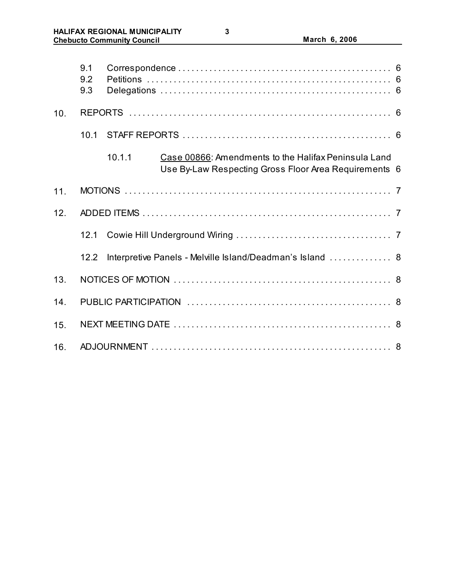|     | 9.1<br>9.2<br>9.3 |                                                                                                                         |  |  |  |  |
|-----|-------------------|-------------------------------------------------------------------------------------------------------------------------|--|--|--|--|
| 10. |                   |                                                                                                                         |  |  |  |  |
|     | 10.1              |                                                                                                                         |  |  |  |  |
|     |                   | 10.1.1<br>Case 00866: Amendments to the Halifax Peninsula Land<br>Use By-Law Respecting Gross Floor Area Requirements 6 |  |  |  |  |
| 11. |                   |                                                                                                                         |  |  |  |  |
| 12. |                   |                                                                                                                         |  |  |  |  |
|     | 12.1              |                                                                                                                         |  |  |  |  |
|     | 12.2              | Interpretive Panels - Melville Island/Deadman's Island  8                                                               |  |  |  |  |
| 13. |                   |                                                                                                                         |  |  |  |  |
| 14. |                   |                                                                                                                         |  |  |  |  |
| 15. |                   |                                                                                                                         |  |  |  |  |
| 16. |                   |                                                                                                                         |  |  |  |  |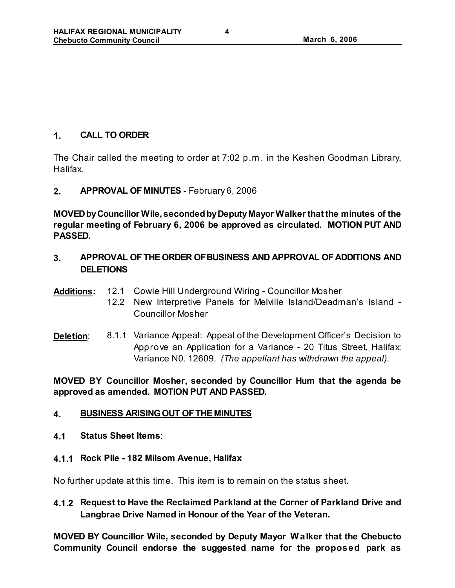## **1. CALL TO ORDER**

The Chair called the meeting to order at 7:02 p.m . in the Keshen Goodman Library, Halifax.

### **2. APPROVAL OF MINUTES** - February 6, 2006

**MOVED by Councillor Wile, seconded by Deputy Mayor Walker that the minutes of the regular meeting of February 6, 2006 be approved as circulated. MOTION PUT AND PASSED.**

- **3. APPROVAL OF THE ORDER OF BUSINESS AND APPROVAL OF ADDITIONS AND DELETIONS**
- **Additions:** 12.1 Cowie Hill Underground Wiring Councillor Mosher
	- 12.2 New Interpretive Panels for Melville Island/Deadman's Island Councillor Mosher
- **Deletion**: 8.1.1 Variance Appeal: Appeal of the Development Officer's Decision to Approve an Application for a Variance - 20 Titus Street, Halifax: Variance N0. 12609. *(The appellant has withdrawn the appeal).*

**MOVED BY Councillor Mosher, seconded by Councillor Hum that the agenda be approved as amended. MOTION PUT AND PASSED.** 

# **4. BUSINESS ARISING OUT OF THE MINUTES**

- **4.1 Status Sheet Items**:
- **4.1.1 Rock Pile 182 Milsom Avenue, Halifax**

No further update at this time. This item is to remain on the status sheet.

**4.1.2 Request to Have the Reclaimed Parkland at the Corner of Parkland Drive and Langbrae Drive Named in Honour of the Year of the Veteran.**

**MOVED BY Councillor Wile, seconded by Deputy Mayor W alker that the Chebucto Community Council endorse the suggested name for the proposed park as**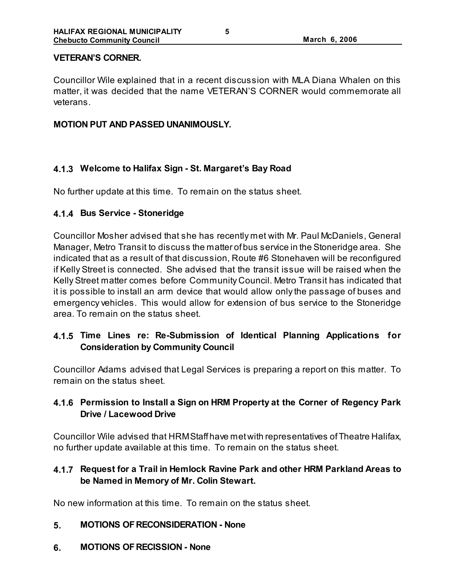#### **VETERAN'S CORNER.**

Councillor Wile explained that in a recent discussion with MLA Diana Whalen on this matter, it was decided that the name VETERAN'S CORNER would commemorate all veterans.

#### **MOTION PUT AND PASSED UNANIMOUSLY.**

## **4.1.3 Welcome to Halifax Sign - St. Margaret's Bay Road**

No further update at this time. To remain on the status sheet.

### **4.1.4 Bus Service - Stoneridge**

Councillor Mosher advised that she has recently met with Mr. Paul McDaniels, General Manager, Metro Transit to discuss the matter of bus service in the Stoneridge area. She indicated that as a result of that discussion, Route #6 Stonehaven will be reconfigured if Kelly Street is connected. She advised that the transit issue will be raised when the Kelly Street matter comes before Community Council. Metro Transit has indicated that it is possible to install an arm device that would allow only the passage of buses and emergency vehicles. This would allow for extension of bus service to the Stoneridge area. To remain on the status sheet.

# **4.1.5 Time Lines re: Re-Submission of Identical Planning Applications for Consideration by Community Council**

Councillor Adams advised that Legal Services is preparing a report on this matter. To remain on the status sheet.

## **4.1.6 Permission to Install a Sign on HRM Property at the Corner of Regency Park Drive / Lacewood Drive**

Councillor Wile advised that HRM Staff have met with representatives of Theatre Halifax, no further update available at this time. To remain on the status sheet.

# **4.1.7 Request for a Trail in Hemlock Ravine Park and other HRM Parkland Areas to be Named in Memory of Mr. Colin Stewart.**

No new information at this time. To remain on the status sheet.

### **5. MOTIONS OF RECONSIDERATION - None**

**6. MOTIONS OF RECISSION - None**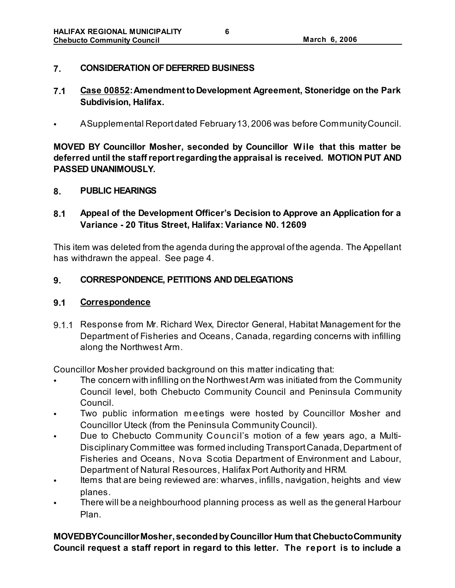### **7. CONSIDERATION OF DEFERRED BUSINESS**

- **7.1 Case 00852: Amendment to Development Agreement, Stoneridge on the Park Subdivision, Halifax.**
- A Supplemental Report dated February 13, 2006 was before Community Council.

**MOVED BY Councillor Mosher, seconded by Councillor W ile that this matter be deferred until the staff report regarding the appraisal is received. MOTION PUT AND PASSED UNANIMOUSLY.** 

#### **8. PUBLIC HEARINGS**

## **8.1 Appeal of the Development Officer's Decision to Approve an Application for a Variance - 20 Titus Street, Halifax: Variance N0. 12609**

This item was deleted from the agenda during the approval of the agenda. The Appellant has withdrawn the appeal. See page 4.

### **9. CORRESPONDENCE, PETITIONS AND DELEGATIONS**

### **9.1 Correspondence**

9.1.1 Response from Mr. Richard Wex, Director General, Habitat Management for the Department of Fisheries and Oceans, Canada, regarding concerns with infilling along the Northwest Arm.

Councillor Mosher provided background on this matter indicating that:

- The concern with infilling on the Northwest Arm was initiated from the Community Council level, both Chebucto Community Council and Peninsula Community Council.
- Two public information m eetings were hosted by Councillor Mosher and Councillor Uteck (from the Peninsula Community Council).
- Due to Chebucto Community Council's motion of a few years ago, a Multi-Disciplinary Committee was formed including Transport Canada, Department of Fisheries and Oceans, Nova Scotia Department of Environment and Labour, Department of Natural Resources, Halifax Port Authority and HRM.
- Items that are being reviewed are: wharves, infills, navigation, heights and view planes.
- There will be a neighbourhood planning process as well as the general Harbour Plan.

**MOVED BY Councillor Mosher, seconded by Councillor Hum that Chebucto Community Council request a staff report in regard to this letter. The report is to include a**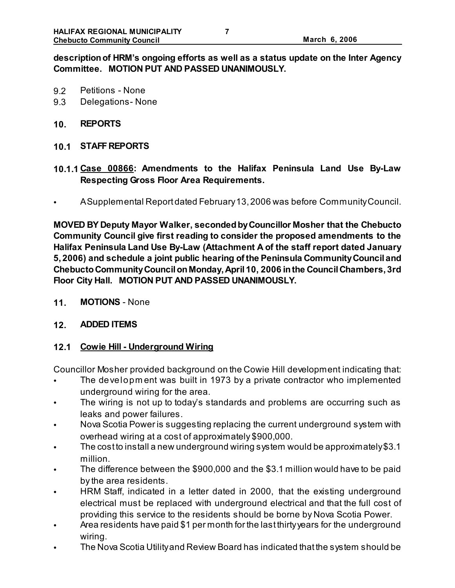## **description of HRM's ongoing efforts as well as a status update on the Inter Agency Committee. MOTION PUT AND PASSED UNANIMOUSLY.**

- 9.2 Petitions None
- 9.3 Delegations- None
- **10. REPORTS**
- **10.1 STAFF REPORTS**
- **10.1.1 Case 00866: Amendments to the Halifax Peninsula Land Use By-Law Respecting Gross Floor Area Requirements.**
- A Supplemental Report dated February 13, 2006 was before Community Council.

**MOVED BY Deputy Mayor Walker, seconded by Councillor Mosher that the Chebucto Community Council give first reading to consider the proposed amendments to the Halifax Peninsula Land Use By-Law (Attachment A of the staff report dated January 5, 2006) and schedule a joint public hearing of the Peninsula Community Council and Chebucto Community Council on Monday, April 10, 2006 in the Council Chambers, 3rd Floor City Hall. MOTION PUT AND PASSED UNANIMOUSLY.** 

**11. MOTIONS** - None

#### **12. ADDED ITEMS**

### **12.1 Cowie Hill - Underground Wiring**

Councillor Mosher provided background on the Cowie Hill development indicating that:

- The developm ent was built in 1973 by a private contractor who implemented underground wiring for the area.
- The wiring is not up to today's standards and problems are occurring such as leaks and power failures.
- Nova Scotia Power is suggesting replacing the current underground system with overhead wiring at a cost of approximately \$900,000.
- The cost to install a new underground wiring system would be approximately \$3.1 million.
- The difference between the \$900,000 and the \$3.1 million would have to be paid by the area residents.
- HRM Staff, indicated in a letter dated in 2000, that the existing underground electrical must be replaced with underground electrical and that the full cost of providing this service to the residents should be borne by Nova Scotia Power.
- Area residents have paid \$1 per month for the last thirty years for the underground wiring.
- The Nova Scotia Utility and Review Board has indicated that the system should be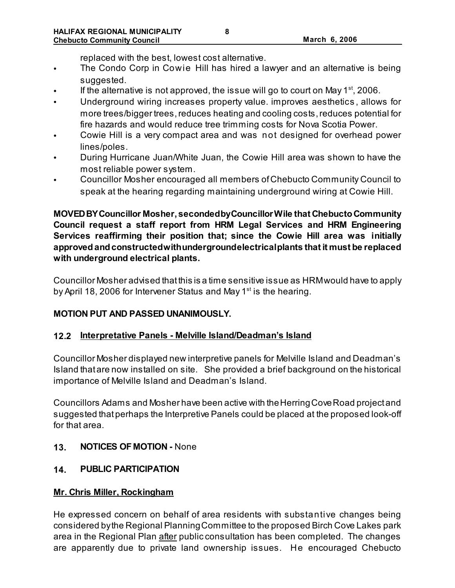replaced with the best, lowest cost alternative.

- The Condo Corp in Cowie Hill has hired a lawyer and an alternative is being suggested.
- If the alternative is not approved, the issue will go to court on May  $1^{st}$ , 2006.
- Underground wiring increases property value. improves aesthetics , allows for more trees/bigger trees, reduces heating and cooling costs, reduces potential for fire hazards and would reduce tree trimming costs for Nova Scotia Power.
- Cowie Hill is a very compact area and was not designed for overhead power lines/poles.
- During Hurricane Juan/White Juan, the Cowie Hill area was shown to have the most reliable power system.
- Councillor Mosher encouraged all members of Chebucto Community Council to speak at the hearing regarding maintaining underground wiring at Cowie Hill.

**MOVED BY Councillor Mosher, seconded by Councillor Wile that Chebucto Community Council request a staff report from HRM Legal Services and HRM Engineering Services reaffirming their position that; since the Cowie Hill area was initially approved and constructed with underground electrical plants that it must be replaced with underground electrical plants.** 

Councillor Mosher advised that this is a time sensitive issue as HRM would have to apply by April 18, 2006 for Intervener Status and May  $1<sup>st</sup>$  is the hearing.

# **MOTION PUT AND PASSED UNANIMOUSLY.**

### **12.2 Interpretative Panels - Melville Island/Deadman's Island**

Councillor Mosher displayed new interpretive panels for Melville Island and Deadman's Island that are now installed on site. She provided a brief background on the historical importance of Melville Island and Deadman's Island.

Councillors Adams and Mosher have been active with the Herring Cove Road project and suggested that perhaps the Interpretive Panels could be placed at the proposed look-off for that area.

**13. NOTICES OF MOTION -** None

# **14. PUBLIC PARTICIPATION**

### **Mr. Chris Miller, Rockingham**

He expressed concern on behalf of area residents with substantive changes being considered by the Regional Planning Committee to the proposed Birch Cove Lakes park area in the Regional Plan after public consultation has been completed. The changes are apparently due to private land ownership issues. He encouraged Chebucto